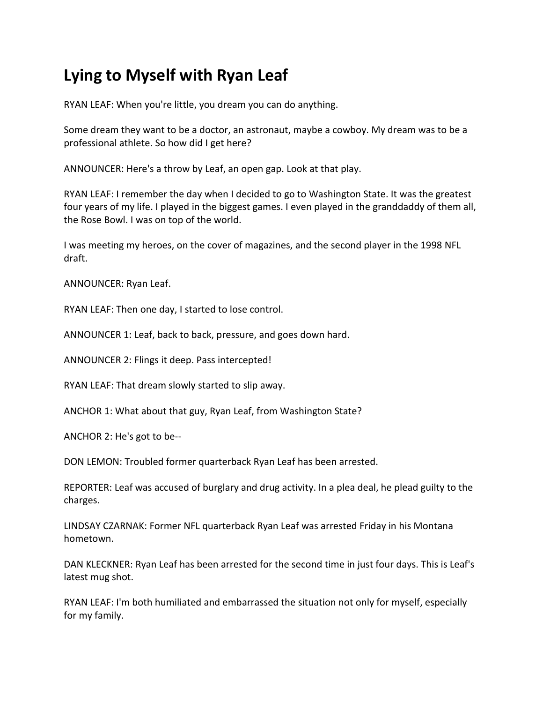# **Lying to Myself with Ryan Leaf**

RYAN LEAF: When you're little, you dream you can do anything.

Some dream they want to be a doctor, an astronaut, maybe a cowboy. My dream was to be a professional athlete. So how did I get here?

ANNOUNCER: Here's a throw by Leaf, an open gap. Look at that play.

RYAN LEAF: I remember the day when I decided to go to Washington State. It was the greatest four years of my life. I played in the biggest games. I even played in the granddaddy of them all, the Rose Bowl. I was on top of the world.

I was meeting my heroes, on the cover of magazines, and the second player in the 1998 NFL draft.

ANNOUNCER: Ryan Leaf.

RYAN LEAF: Then one day, I started to lose control.

ANNOUNCER 1: Leaf, back to back, pressure, and goes down hard.

ANNOUNCER 2: Flings it deep. Pass intercepted!

RYAN LEAF: That dream slowly started to slip away.

ANCHOR 1: What about that guy, Ryan Leaf, from Washington State?

ANCHOR 2: He's got to be--

DON LEMON: Troubled former quarterback Ryan Leaf has been arrested.

REPORTER: Leaf was accused of burglary and drug activity. In a plea deal, he plead guilty to the charges.

LINDSAY CZARNAK: Former NFL quarterback Ryan Leaf was arrested Friday in his Montana hometown.

DAN KLECKNER: Ryan Leaf has been arrested for the second time in just four days. This is Leaf's latest mug shot.

RYAN LEAF: I'm both humiliated and embarrassed the situation not only for myself, especially for my family.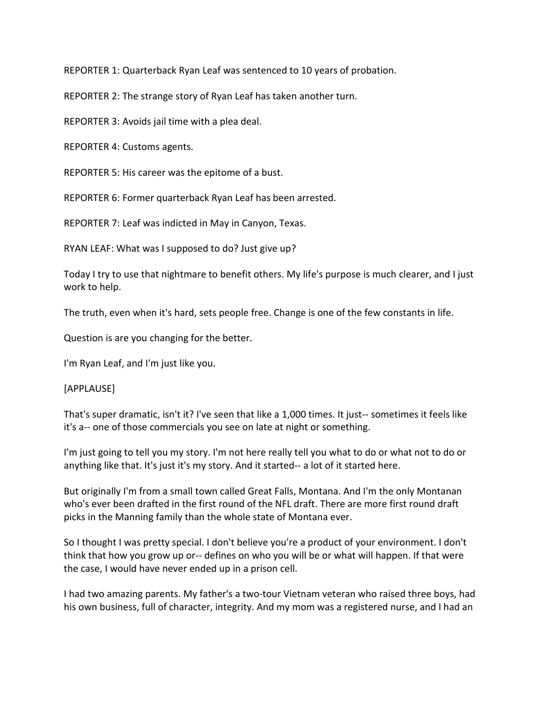REPORTER 1: Quarterback Ryan Leaf was sentenced to 10 years of probation.

REPORTER 2: The strange story of Ryan Leaf has taken another turn.

REPORTER 3: Avoids jail time with a plea deal.

REPORTER 4: Customs agents.

REPORTER 5: His career was the epitome of a bust.

REPORTER 6: Former quarterback Ryan Leaf has been arrested.

REPORTER 7: Leaf was indicted in May in Canyon, Texas.

RYAN LEAF: What was I supposed to do? Just give up?

Today I try to use that nightmare to benefit others. My life's purpose is much clearer, and I just work to help.

The truth, even when it's hard, sets people free. Change is one of the few constants in life.

Question is are you changing for the better.

I'm Ryan Leaf, and I'm just like you.

#### [APPLAUSE]

That's super dramatic, isn't it? I've seen that like a 1,000 times. It just-- sometimes it feels like it's a-- one of those commercials you see on late at night or something.

I'm just going to tell you my story. I'm not here really tell you what to do or what not to do or anything like that. It's just it's my story. And it started-- a lot of it started here.

But originally I'm from a small town called Great Falls, Montana. And I'm the only Montanan who's ever been drafted in the first round of the NFL draft. There are more first round draft picks in the Manning family than the whole state of Montana ever.

So I thought I was pretty special. I don't believe you're a product of your environment. I don't think that how you grow up or-- defines on who you will be or what will happen. If that were the case, I would have never ended up in a prison cell.

I had two amazing parents. My father's a two-tour Vietnam veteran who raised three boys, had his own business, full of character, integrity. And my mom was a registered nurse, and I had an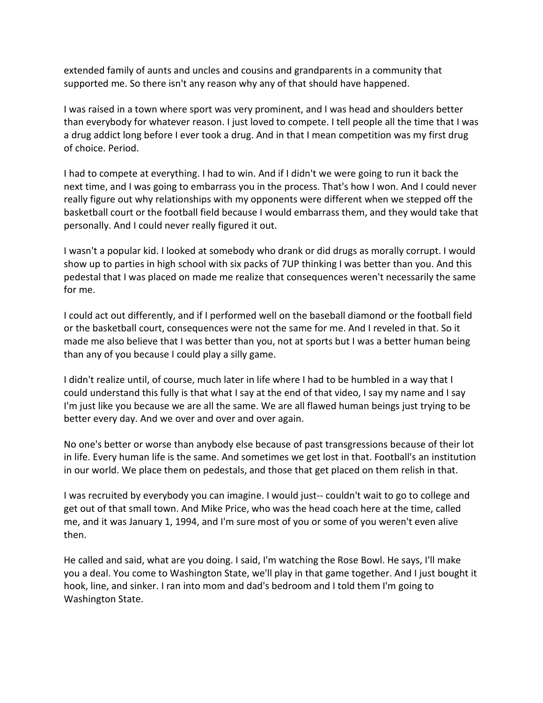extended family of aunts and uncles and cousins and grandparents in a community that supported me. So there isn't any reason why any of that should have happened.

I was raised in a town where sport was very prominent, and I was head and shoulders better than everybody for whatever reason. I just loved to compete. I tell people all the time that I was a drug addict long before I ever took a drug. And in that I mean competition was my first drug of choice. Period.

I had to compete at everything. I had to win. And if I didn't we were going to run it back the next time, and I was going to embarrass you in the process. That's how I won. And I could never really figure out why relationships with my opponents were different when we stepped off the basketball court or the football field because I would embarrass them, and they would take that personally. And I could never really figured it out.

I wasn't a popular kid. I looked at somebody who drank or did drugs as morally corrupt. I would show up to parties in high school with six packs of 7UP thinking I was better than you. And this pedestal that I was placed on made me realize that consequences weren't necessarily the same for me.

I could act out differently, and if I performed well on the baseball diamond or the football field or the basketball court, consequences were not the same for me. And I reveled in that. So it made me also believe that I was better than you, not at sports but I was a better human being than any of you because I could play a silly game.

I didn't realize until, of course, much later in life where I had to be humbled in a way that I could understand this fully is that what I say at the end of that video, I say my name and I say I'm just like you because we are all the same. We are all flawed human beings just trying to be better every day. And we over and over and over again.

No one's better or worse than anybody else because of past transgressions because of their lot in life. Every human life is the same. And sometimes we get lost in that. Football's an institution in our world. We place them on pedestals, and those that get placed on them relish in that.

I was recruited by everybody you can imagine. I would just-- couldn't wait to go to college and get out of that small town. And Mike Price, who was the head coach here at the time, called me, and it was January 1, 1994, and I'm sure most of you or some of you weren't even alive then.

He called and said, what are you doing. I said, I'm watching the Rose Bowl. He says, I'll make you a deal. You come to Washington State, we'll play in that game together. And I just bought it hook, line, and sinker. I ran into mom and dad's bedroom and I told them I'm going to Washington State.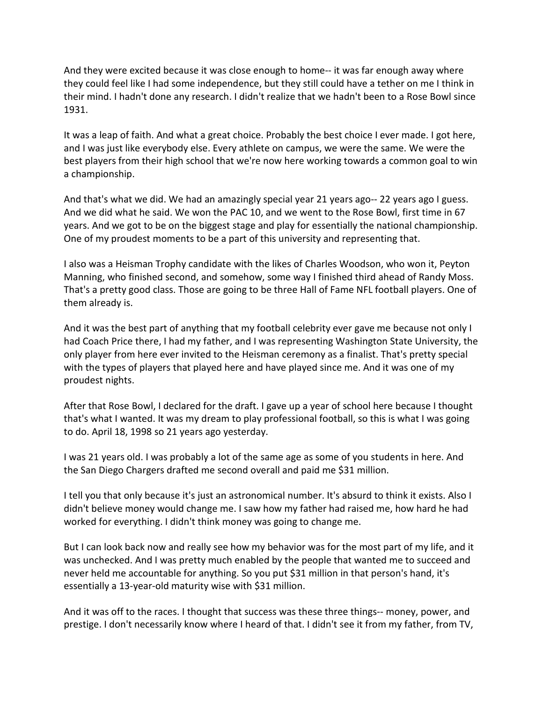And they were excited because it was close enough to home-- it was far enough away where they could feel like I had some independence, but they still could have a tether on me I think in their mind. I hadn't done any research. I didn't realize that we hadn't been to a Rose Bowl since 1931.

It was a leap of faith. And what a great choice. Probably the best choice I ever made. I got here, and I was just like everybody else. Every athlete on campus, we were the same. We were the best players from their high school that we're now here working towards a common goal to win a championship.

And that's what we did. We had an amazingly special year 21 years ago-- 22 years ago I guess. And we did what he said. We won the PAC 10, and we went to the Rose Bowl, first time in 67 years. And we got to be on the biggest stage and play for essentially the national championship. One of my proudest moments to be a part of this university and representing that.

I also was a Heisman Trophy candidate with the likes of Charles Woodson, who won it, Peyton Manning, who finished second, and somehow, some way I finished third ahead of Randy Moss. That's a pretty good class. Those are going to be three Hall of Fame NFL football players. One of them already is.

And it was the best part of anything that my football celebrity ever gave me because not only I had Coach Price there, I had my father, and I was representing Washington State University, the only player from here ever invited to the Heisman ceremony as a finalist. That's pretty special with the types of players that played here and have played since me. And it was one of my proudest nights.

After that Rose Bowl, I declared for the draft. I gave up a year of school here because I thought that's what I wanted. It was my dream to play professional football, so this is what I was going to do. April 18, 1998 so 21 years ago yesterday.

I was 21 years old. I was probably a lot of the same age as some of you students in here. And the San Diego Chargers drafted me second overall and paid me \$31 million.

I tell you that only because it's just an astronomical number. It's absurd to think it exists. Also I didn't believe money would change me. I saw how my father had raised me, how hard he had worked for everything. I didn't think money was going to change me.

But I can look back now and really see how my behavior was for the most part of my life, and it was unchecked. And I was pretty much enabled by the people that wanted me to succeed and never held me accountable for anything. So you put \$31 million in that person's hand, it's essentially a 13-year-old maturity wise with \$31 million.

And it was off to the races. I thought that success was these three things-- money, power, and prestige. I don't necessarily know where I heard of that. I didn't see it from my father, from TV,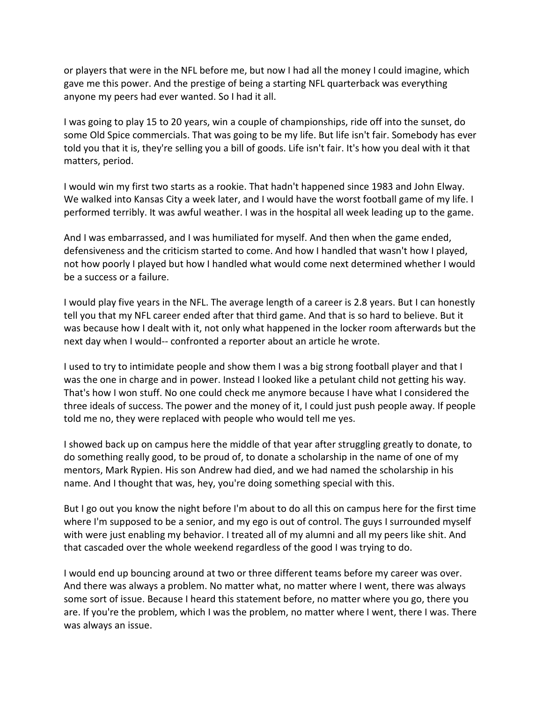or players that were in the NFL before me, but now I had all the money I could imagine, which gave me this power. And the prestige of being a starting NFL quarterback was everything anyone my peers had ever wanted. So I had it all.

I was going to play 15 to 20 years, win a couple of championships, ride off into the sunset, do some Old Spice commercials. That was going to be my life. But life isn't fair. Somebody has ever told you that it is, they're selling you a bill of goods. Life isn't fair. It's how you deal with it that matters, period.

I would win my first two starts as a rookie. That hadn't happened since 1983 and John Elway. We walked into Kansas City a week later, and I would have the worst football game of my life. I performed terribly. It was awful weather. I was in the hospital all week leading up to the game.

And I was embarrassed, and I was humiliated for myself. And then when the game ended, defensiveness and the criticism started to come. And how I handled that wasn't how I played, not how poorly I played but how I handled what would come next determined whether I would be a success or a failure.

I would play five years in the NFL. The average length of a career is 2.8 years. But I can honestly tell you that my NFL career ended after that third game. And that is so hard to believe. But it was because how I dealt with it, not only what happened in the locker room afterwards but the next day when I would-- confronted a reporter about an article he wrote.

I used to try to intimidate people and show them I was a big strong football player and that I was the one in charge and in power. Instead I looked like a petulant child not getting his way. That's how I won stuff. No one could check me anymore because I have what I considered the three ideals of success. The power and the money of it, I could just push people away. If people told me no, they were replaced with people who would tell me yes.

I showed back up on campus here the middle of that year after struggling greatly to donate, to do something really good, to be proud of, to donate a scholarship in the name of one of my mentors, Mark Rypien. His son Andrew had died, and we had named the scholarship in his name. And I thought that was, hey, you're doing something special with this.

But I go out you know the night before I'm about to do all this on campus here for the first time where I'm supposed to be a senior, and my ego is out of control. The guys I surrounded myself with were just enabling my behavior. I treated all of my alumni and all my peers like shit. And that cascaded over the whole weekend regardless of the good I was trying to do.

I would end up bouncing around at two or three different teams before my career was over. And there was always a problem. No matter what, no matter where I went, there was always some sort of issue. Because I heard this statement before, no matter where you go, there you are. If you're the problem, which I was the problem, no matter where I went, there I was. There was always an issue.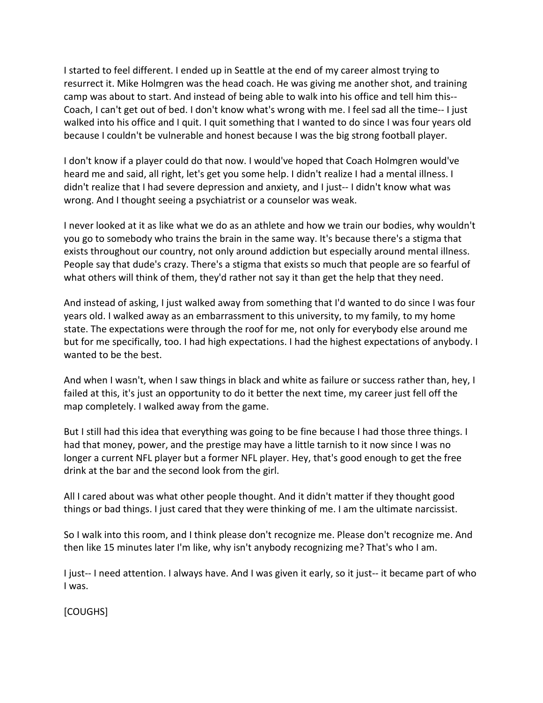I started to feel different. I ended up in Seattle at the end of my career almost trying to resurrect it. Mike Holmgren was the head coach. He was giving me another shot, and training camp was about to start. And instead of being able to walk into his office and tell him this-- Coach, I can't get out of bed. I don't know what's wrong with me. I feel sad all the time-- I just walked into his office and I quit. I quit something that I wanted to do since I was four years old because I couldn't be vulnerable and honest because I was the big strong football player.

I don't know if a player could do that now. I would've hoped that Coach Holmgren would've heard me and said, all right, let's get you some help. I didn't realize I had a mental illness. I didn't realize that I had severe depression and anxiety, and I just-- I didn't know what was wrong. And I thought seeing a psychiatrist or a counselor was weak.

I never looked at it as like what we do as an athlete and how we train our bodies, why wouldn't you go to somebody who trains the brain in the same way. It's because there's a stigma that exists throughout our country, not only around addiction but especially around mental illness. People say that dude's crazy. There's a stigma that exists so much that people are so fearful of what others will think of them, they'd rather not say it than get the help that they need.

And instead of asking, I just walked away from something that I'd wanted to do since I was four years old. I walked away as an embarrassment to this university, to my family, to my home state. The expectations were through the roof for me, not only for everybody else around me but for me specifically, too. I had high expectations. I had the highest expectations of anybody. I wanted to be the best.

And when I wasn't, when I saw things in black and white as failure or success rather than, hey, I failed at this, it's just an opportunity to do it better the next time, my career just fell off the map completely. I walked away from the game.

But I still had this idea that everything was going to be fine because I had those three things. I had that money, power, and the prestige may have a little tarnish to it now since I was no longer a current NFL player but a former NFL player. Hey, that's good enough to get the free drink at the bar and the second look from the girl.

All I cared about was what other people thought. And it didn't matter if they thought good things or bad things. I just cared that they were thinking of me. I am the ultimate narcissist.

So I walk into this room, and I think please don't recognize me. Please don't recognize me. And then like 15 minutes later I'm like, why isn't anybody recognizing me? That's who I am.

I just-- I need attention. I always have. And I was given it early, so it just-- it became part of who I was.

[COUGHS]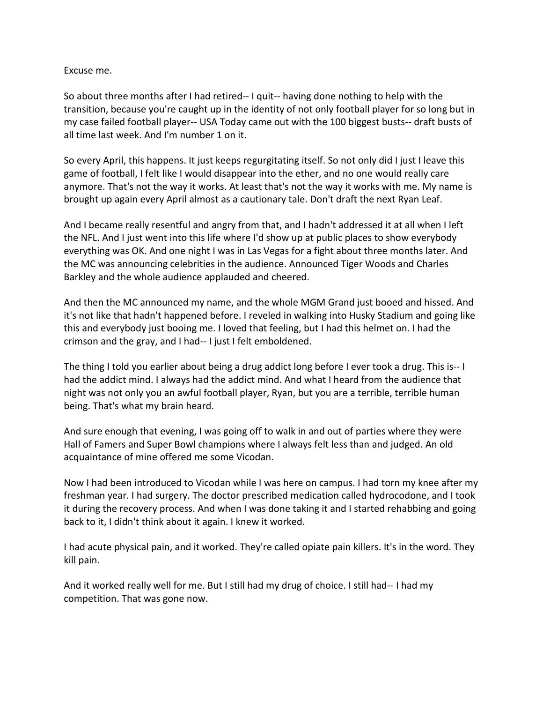#### Excuse me.

So about three months after I had retired-- I quit-- having done nothing to help with the transition, because you're caught up in the identity of not only football player for so long but in my case failed football player-- USA Today came out with the 100 biggest busts-- draft busts of all time last week. And I'm number 1 on it.

So every April, this happens. It just keeps regurgitating itself. So not only did I just I leave this game of football, I felt like I would disappear into the ether, and no one would really care anymore. That's not the way it works. At least that's not the way it works with me. My name is brought up again every April almost as a cautionary tale. Don't draft the next Ryan Leaf.

And I became really resentful and angry from that, and I hadn't addressed it at all when I left the NFL. And I just went into this life where I'd show up at public places to show everybody everything was OK. And one night I was in Las Vegas for a fight about three months later. And the MC was announcing celebrities in the audience. Announced Tiger Woods and Charles Barkley and the whole audience applauded and cheered.

And then the MC announced my name, and the whole MGM Grand just booed and hissed. And it's not like that hadn't happened before. I reveled in walking into Husky Stadium and going like this and everybody just booing me. I loved that feeling, but I had this helmet on. I had the crimson and the gray, and I had-- I just I felt emboldened.

The thing I told you earlier about being a drug addict long before I ever took a drug. This is-- I had the addict mind. I always had the addict mind. And what I heard from the audience that night was not only you an awful football player, Ryan, but you are a terrible, terrible human being. That's what my brain heard.

And sure enough that evening, I was going off to walk in and out of parties where they were Hall of Famers and Super Bowl champions where I always felt less than and judged. An old acquaintance of mine offered me some Vicodan.

Now I had been introduced to Vicodan while I was here on campus. I had torn my knee after my freshman year. I had surgery. The doctor prescribed medication called hydrocodone, and I took it during the recovery process. And when I was done taking it and I started rehabbing and going back to it, I didn't think about it again. I knew it worked.

I had acute physical pain, and it worked. They're called opiate pain killers. It's in the word. They kill pain.

And it worked really well for me. But I still had my drug of choice. I still had-- I had my competition. That was gone now.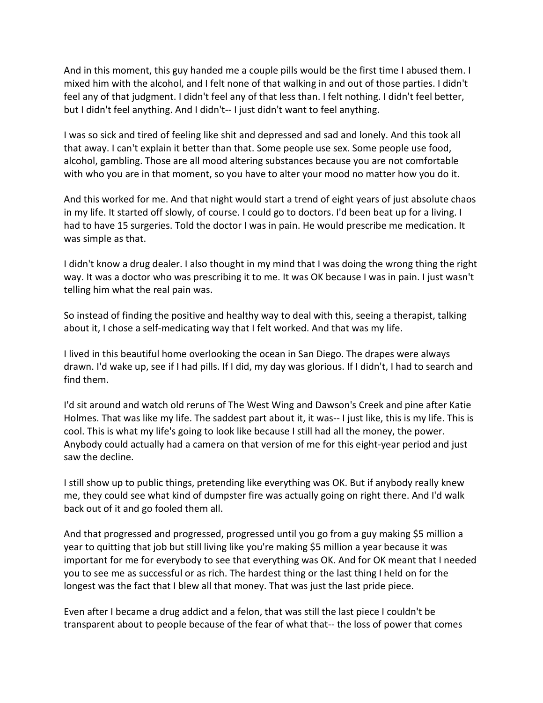And in this moment, this guy handed me a couple pills would be the first time I abused them. I mixed him with the alcohol, and I felt none of that walking in and out of those parties. I didn't feel any of that judgment. I didn't feel any of that less than. I felt nothing. I didn't feel better, but I didn't feel anything. And I didn't-- I just didn't want to feel anything.

I was so sick and tired of feeling like shit and depressed and sad and lonely. And this took all that away. I can't explain it better than that. Some people use sex. Some people use food, alcohol, gambling. Those are all mood altering substances because you are not comfortable with who you are in that moment, so you have to alter your mood no matter how you do it.

And this worked for me. And that night would start a trend of eight years of just absolute chaos in my life. It started off slowly, of course. I could go to doctors. I'd been beat up for a living. I had to have 15 surgeries. Told the doctor I was in pain. He would prescribe me medication. It was simple as that.

I didn't know a drug dealer. I also thought in my mind that I was doing the wrong thing the right way. It was a doctor who was prescribing it to me. It was OK because I was in pain. I just wasn't telling him what the real pain was.

So instead of finding the positive and healthy way to deal with this, seeing a therapist, talking about it, I chose a self-medicating way that I felt worked. And that was my life.

I lived in this beautiful home overlooking the ocean in San Diego. The drapes were always drawn. I'd wake up, see if I had pills. If I did, my day was glorious. If I didn't, I had to search and find them.

I'd sit around and watch old reruns of The West Wing and Dawson's Creek and pine after Katie Holmes. That was like my life. The saddest part about it, it was-- I just like, this is my life. This is cool. This is what my life's going to look like because I still had all the money, the power. Anybody could actually had a camera on that version of me for this eight-year period and just saw the decline.

I still show up to public things, pretending like everything was OK. But if anybody really knew me, they could see what kind of dumpster fire was actually going on right there. And I'd walk back out of it and go fooled them all.

And that progressed and progressed, progressed until you go from a guy making \$5 million a year to quitting that job but still living like you're making \$5 million a year because it was important for me for everybody to see that everything was OK. And for OK meant that I needed you to see me as successful or as rich. The hardest thing or the last thing I held on for the longest was the fact that I blew all that money. That was just the last pride piece.

Even after I became a drug addict and a felon, that was still the last piece I couldn't be transparent about to people because of the fear of what that-- the loss of power that comes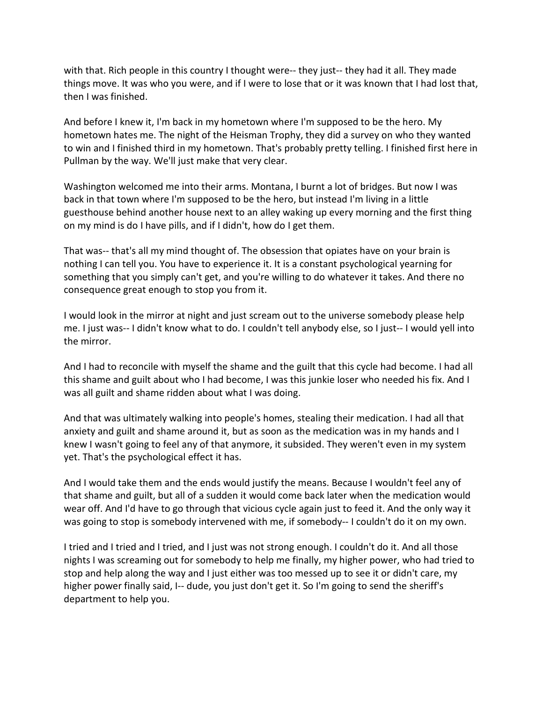with that. Rich people in this country I thought were-- they just-- they had it all. They made things move. It was who you were, and if I were to lose that or it was known that I had lost that, then I was finished.

And before I knew it, I'm back in my hometown where I'm supposed to be the hero. My hometown hates me. The night of the Heisman Trophy, they did a survey on who they wanted to win and I finished third in my hometown. That's probably pretty telling. I finished first here in Pullman by the way. We'll just make that very clear.

Washington welcomed me into their arms. Montana, I burnt a lot of bridges. But now I was back in that town where I'm supposed to be the hero, but instead I'm living in a little guesthouse behind another house next to an alley waking up every morning and the first thing on my mind is do I have pills, and if I didn't, how do I get them.

That was-- that's all my mind thought of. The obsession that opiates have on your brain is nothing I can tell you. You have to experience it. It is a constant psychological yearning for something that you simply can't get, and you're willing to do whatever it takes. And there no consequence great enough to stop you from it.

I would look in the mirror at night and just scream out to the universe somebody please help me. I just was-- I didn't know what to do. I couldn't tell anybody else, so I just-- I would yell into the mirror.

And I had to reconcile with myself the shame and the guilt that this cycle had become. I had all this shame and guilt about who I had become, I was this junkie loser who needed his fix. And I was all guilt and shame ridden about what I was doing.

And that was ultimately walking into people's homes, stealing their medication. I had all that anxiety and guilt and shame around it, but as soon as the medication was in my hands and I knew I wasn't going to feel any of that anymore, it subsided. They weren't even in my system yet. That's the psychological effect it has.

And I would take them and the ends would justify the means. Because I wouldn't feel any of that shame and guilt, but all of a sudden it would come back later when the medication would wear off. And I'd have to go through that vicious cycle again just to feed it. And the only way it was going to stop is somebody intervened with me, if somebody-- I couldn't do it on my own.

I tried and I tried and I tried, and I just was not strong enough. I couldn't do it. And all those nights I was screaming out for somebody to help me finally, my higher power, who had tried to stop and help along the way and I just either was too messed up to see it or didn't care, my higher power finally said, I-- dude, you just don't get it. So I'm going to send the sheriff's department to help you.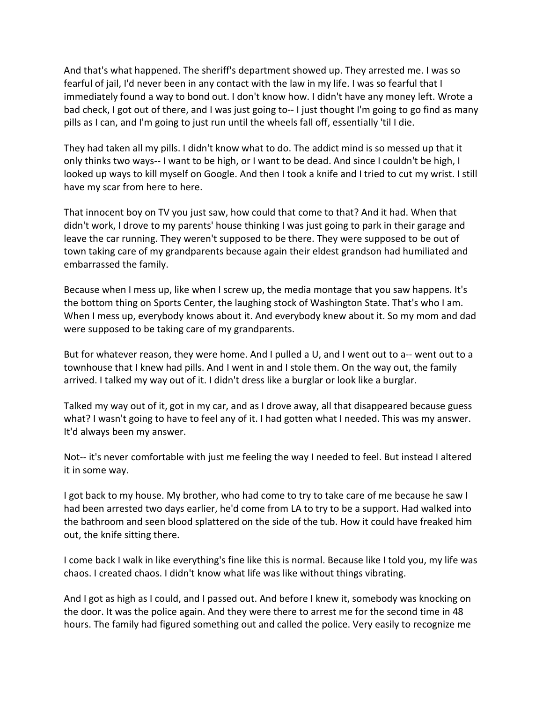And that's what happened. The sheriff's department showed up. They arrested me. I was so fearful of jail, I'd never been in any contact with the law in my life. I was so fearful that I immediately found a way to bond out. I don't know how. I didn't have any money left. Wrote a bad check, I got out of there, and I was just going to-- I just thought I'm going to go find as many pills as I can, and I'm going to just run until the wheels fall off, essentially 'til I die.

They had taken all my pills. I didn't know what to do. The addict mind is so messed up that it only thinks two ways-- I want to be high, or I want to be dead. And since I couldn't be high, I looked up ways to kill myself on Google. And then I took a knife and I tried to cut my wrist. I still have my scar from here to here.

That innocent boy on TV you just saw, how could that come to that? And it had. When that didn't work, I drove to my parents' house thinking I was just going to park in their garage and leave the car running. They weren't supposed to be there. They were supposed to be out of town taking care of my grandparents because again their eldest grandson had humiliated and embarrassed the family.

Because when I mess up, like when I screw up, the media montage that you saw happens. It's the bottom thing on Sports Center, the laughing stock of Washington State. That's who I am. When I mess up, everybody knows about it. And everybody knew about it. So my mom and dad were supposed to be taking care of my grandparents.

But for whatever reason, they were home. And I pulled a U, and I went out to a-- went out to a townhouse that I knew had pills. And I went in and I stole them. On the way out, the family arrived. I talked my way out of it. I didn't dress like a burglar or look like a burglar.

Talked my way out of it, got in my car, and as I drove away, all that disappeared because guess what? I wasn't going to have to feel any of it. I had gotten what I needed. This was my answer. It'd always been my answer.

Not-- it's never comfortable with just me feeling the way I needed to feel. But instead I altered it in some way.

I got back to my house. My brother, who had come to try to take care of me because he saw I had been arrested two days earlier, he'd come from LA to try to be a support. Had walked into the bathroom and seen blood splattered on the side of the tub. How it could have freaked him out, the knife sitting there.

I come back I walk in like everything's fine like this is normal. Because like I told you, my life was chaos. I created chaos. I didn't know what life was like without things vibrating.

And I got as high as I could, and I passed out. And before I knew it, somebody was knocking on the door. It was the police again. And they were there to arrest me for the second time in 48 hours. The family had figured something out and called the police. Very easily to recognize me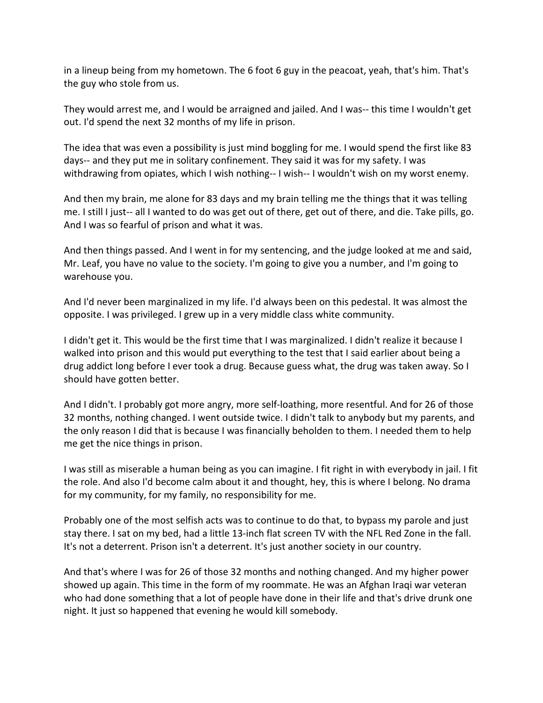in a lineup being from my hometown. The 6 foot 6 guy in the peacoat, yeah, that's him. That's the guy who stole from us.

They would arrest me, and I would be arraigned and jailed. And I was-- this time I wouldn't get out. I'd spend the next 32 months of my life in prison.

The idea that was even a possibility is just mind boggling for me. I would spend the first like 83 days-- and they put me in solitary confinement. They said it was for my safety. I was withdrawing from opiates, which I wish nothing-- I wish-- I wouldn't wish on my worst enemy.

And then my brain, me alone for 83 days and my brain telling me the things that it was telling me. I still I just-- all I wanted to do was get out of there, get out of there, and die. Take pills, go. And I was so fearful of prison and what it was.

And then things passed. And I went in for my sentencing, and the judge looked at me and said, Mr. Leaf, you have no value to the society. I'm going to give you a number, and I'm going to warehouse you.

And I'd never been marginalized in my life. I'd always been on this pedestal. It was almost the opposite. I was privileged. I grew up in a very middle class white community.

I didn't get it. This would be the first time that I was marginalized. I didn't realize it because I walked into prison and this would put everything to the test that I said earlier about being a drug addict long before I ever took a drug. Because guess what, the drug was taken away. So I should have gotten better.

And I didn't. I probably got more angry, more self-loathing, more resentful. And for 26 of those 32 months, nothing changed. I went outside twice. I didn't talk to anybody but my parents, and the only reason I did that is because I was financially beholden to them. I needed them to help me get the nice things in prison.

I was still as miserable a human being as you can imagine. I fit right in with everybody in jail. I fit the role. And also I'd become calm about it and thought, hey, this is where I belong. No drama for my community, for my family, no responsibility for me.

Probably one of the most selfish acts was to continue to do that, to bypass my parole and just stay there. I sat on my bed, had a little 13-inch flat screen TV with the NFL Red Zone in the fall. It's not a deterrent. Prison isn't a deterrent. It's just another society in our country.

And that's where I was for 26 of those 32 months and nothing changed. And my higher power showed up again. This time in the form of my roommate. He was an Afghan Iraqi war veteran who had done something that a lot of people have done in their life and that's drive drunk one night. It just so happened that evening he would kill somebody.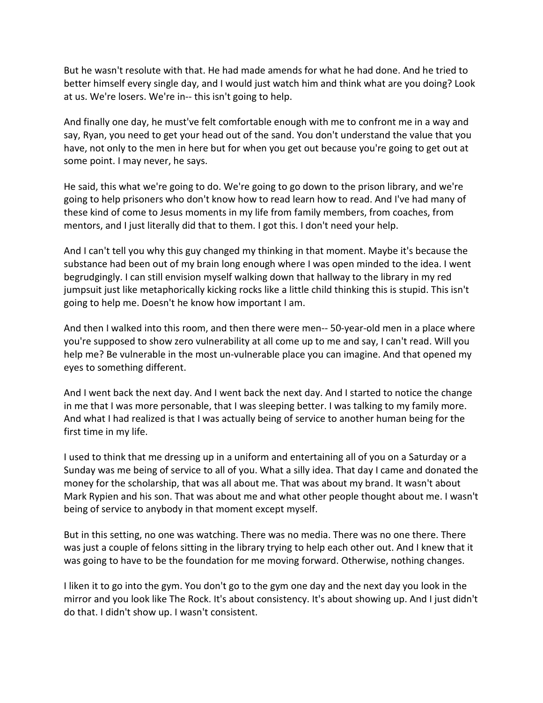But he wasn't resolute with that. He had made amends for what he had done. And he tried to better himself every single day, and I would just watch him and think what are you doing? Look at us. We're losers. We're in-- this isn't going to help.

And finally one day, he must've felt comfortable enough with me to confront me in a way and say, Ryan, you need to get your head out of the sand. You don't understand the value that you have, not only to the men in here but for when you get out because you're going to get out at some point. I may never, he says.

He said, this what we're going to do. We're going to go down to the prison library, and we're going to help prisoners who don't know how to read learn how to read. And I've had many of these kind of come to Jesus moments in my life from family members, from coaches, from mentors, and I just literally did that to them. I got this. I don't need your help.

And I can't tell you why this guy changed my thinking in that moment. Maybe it's because the substance had been out of my brain long enough where I was open minded to the idea. I went begrudgingly. I can still envision myself walking down that hallway to the library in my red jumpsuit just like metaphorically kicking rocks like a little child thinking this is stupid. This isn't going to help me. Doesn't he know how important I am.

And then I walked into this room, and then there were men-- 50-year-old men in a place where you're supposed to show zero vulnerability at all come up to me and say, I can't read. Will you help me? Be vulnerable in the most un-vulnerable place you can imagine. And that opened my eyes to something different.

And I went back the next day. And I went back the next day. And I started to notice the change in me that I was more personable, that I was sleeping better. I was talking to my family more. And what I had realized is that I was actually being of service to another human being for the first time in my life.

I used to think that me dressing up in a uniform and entertaining all of you on a Saturday or a Sunday was me being of service to all of you. What a silly idea. That day I came and donated the money for the scholarship, that was all about me. That was about my brand. It wasn't about Mark Rypien and his son. That was about me and what other people thought about me. I wasn't being of service to anybody in that moment except myself.

But in this setting, no one was watching. There was no media. There was no one there. There was just a couple of felons sitting in the library trying to help each other out. And I knew that it was going to have to be the foundation for me moving forward. Otherwise, nothing changes.

I liken it to go into the gym. You don't go to the gym one day and the next day you look in the mirror and you look like The Rock. It's about consistency. It's about showing up. And I just didn't do that. I didn't show up. I wasn't consistent.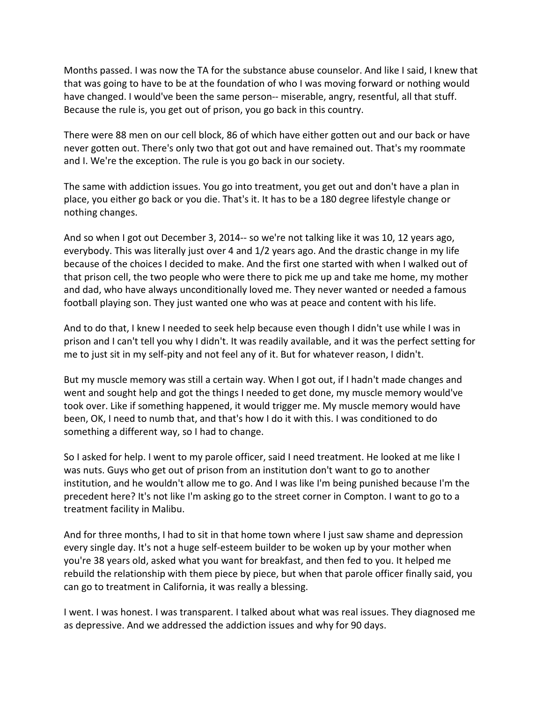Months passed. I was now the TA for the substance abuse counselor. And like I said, I knew that that was going to have to be at the foundation of who I was moving forward or nothing would have changed. I would've been the same person-- miserable, angry, resentful, all that stuff. Because the rule is, you get out of prison, you go back in this country.

There were 88 men on our cell block, 86 of which have either gotten out and our back or have never gotten out. There's only two that got out and have remained out. That's my roommate and I. We're the exception. The rule is you go back in our society.

The same with addiction issues. You go into treatment, you get out and don't have a plan in place, you either go back or you die. That's it. It has to be a 180 degree lifestyle change or nothing changes.

And so when I got out December 3, 2014-- so we're not talking like it was 10, 12 years ago, everybody. This was literally just over 4 and 1/2 years ago. And the drastic change in my life because of the choices I decided to make. And the first one started with when I walked out of that prison cell, the two people who were there to pick me up and take me home, my mother and dad, who have always unconditionally loved me. They never wanted or needed a famous football playing son. They just wanted one who was at peace and content with his life.

And to do that, I knew I needed to seek help because even though I didn't use while I was in prison and I can't tell you why I didn't. It was readily available, and it was the perfect setting for me to just sit in my self-pity and not feel any of it. But for whatever reason, I didn't.

But my muscle memory was still a certain way. When I got out, if I hadn't made changes and went and sought help and got the things I needed to get done, my muscle memory would've took over. Like if something happened, it would trigger me. My muscle memory would have been, OK, I need to numb that, and that's how I do it with this. I was conditioned to do something a different way, so I had to change.

So I asked for help. I went to my parole officer, said I need treatment. He looked at me like I was nuts. Guys who get out of prison from an institution don't want to go to another institution, and he wouldn't allow me to go. And I was like I'm being punished because I'm the precedent here? It's not like I'm asking go to the street corner in Compton. I want to go to a treatment facility in Malibu.

And for three months, I had to sit in that home town where I just saw shame and depression every single day. It's not a huge self-esteem builder to be woken up by your mother when you're 38 years old, asked what you want for breakfast, and then fed to you. It helped me rebuild the relationship with them piece by piece, but when that parole officer finally said, you can go to treatment in California, it was really a blessing.

I went. I was honest. I was transparent. I talked about what was real issues. They diagnosed me as depressive. And we addressed the addiction issues and why for 90 days.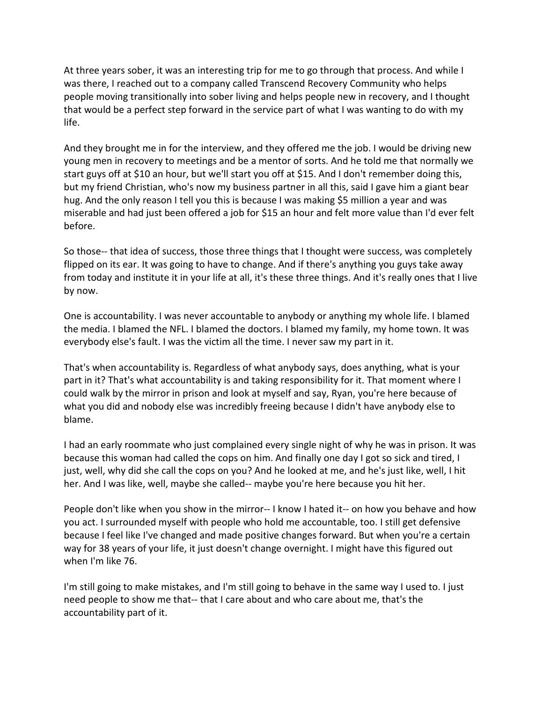At three years sober, it was an interesting trip for me to go through that process. And while I was there, I reached out to a company called Transcend Recovery Community who helps people moving transitionally into sober living and helps people new in recovery, and I thought that would be a perfect step forward in the service part of what I was wanting to do with my life.

And they brought me in for the interview, and they offered me the job. I would be driving new young men in recovery to meetings and be a mentor of sorts. And he told me that normally we start guys off at \$10 an hour, but we'll start you off at \$15. And I don't remember doing this, but my friend Christian, who's now my business partner in all this, said I gave him a giant bear hug. And the only reason I tell you this is because I was making \$5 million a year and was miserable and had just been offered a job for \$15 an hour and felt more value than I'd ever felt before.

So those-- that idea of success, those three things that I thought were success, was completely flipped on its ear. It was going to have to change. And if there's anything you guys take away from today and institute it in your life at all, it's these three things. And it's really ones that I live by now.

One is accountability. I was never accountable to anybody or anything my whole life. I blamed the media. I blamed the NFL. I blamed the doctors. I blamed my family, my home town. It was everybody else's fault. I was the victim all the time. I never saw my part in it.

That's when accountability is. Regardless of what anybody says, does anything, what is your part in it? That's what accountability is and taking responsibility for it. That moment where I could walk by the mirror in prison and look at myself and say, Ryan, you're here because of what you did and nobody else was incredibly freeing because I didn't have anybody else to blame.

I had an early roommate who just complained every single night of why he was in prison. It was because this woman had called the cops on him. And finally one day I got so sick and tired, I just, well, why did she call the cops on you? And he looked at me, and he's just like, well, I hit her. And I was like, well, maybe she called-- maybe you're here because you hit her.

People don't like when you show in the mirror-- I know I hated it-- on how you behave and how you act. I surrounded myself with people who hold me accountable, too. I still get defensive because I feel like I've changed and made positive changes forward. But when you're a certain way for 38 years of your life, it just doesn't change overnight. I might have this figured out when I'm like 76.

I'm still going to make mistakes, and I'm still going to behave in the same way I used to. I just need people to show me that-- that I care about and who care about me, that's the accountability part of it.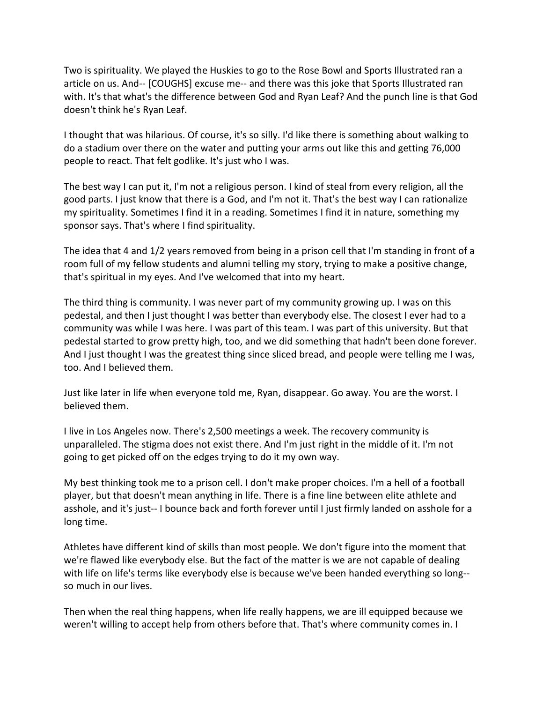Two is spirituality. We played the Huskies to go to the Rose Bowl and Sports Illustrated ran a article on us. And-- [COUGHS] excuse me-- and there was this joke that Sports Illustrated ran with. It's that what's the difference between God and Ryan Leaf? And the punch line is that God doesn't think he's Ryan Leaf.

I thought that was hilarious. Of course, it's so silly. I'd like there is something about walking to do a stadium over there on the water and putting your arms out like this and getting 76,000 people to react. That felt godlike. It's just who I was.

The best way I can put it, I'm not a religious person. I kind of steal from every religion, all the good parts. I just know that there is a God, and I'm not it. That's the best way I can rationalize my spirituality. Sometimes I find it in a reading. Sometimes I find it in nature, something my sponsor says. That's where I find spirituality.

The idea that 4 and 1/2 years removed from being in a prison cell that I'm standing in front of a room full of my fellow students and alumni telling my story, trying to make a positive change, that's spiritual in my eyes. And I've welcomed that into my heart.

The third thing is community. I was never part of my community growing up. I was on this pedestal, and then I just thought I was better than everybody else. The closest I ever had to a community was while I was here. I was part of this team. I was part of this university. But that pedestal started to grow pretty high, too, and we did something that hadn't been done forever. And I just thought I was the greatest thing since sliced bread, and people were telling me I was, too. And I believed them.

Just like later in life when everyone told me, Ryan, disappear. Go away. You are the worst. I believed them.

I live in Los Angeles now. There's 2,500 meetings a week. The recovery community is unparalleled. The stigma does not exist there. And I'm just right in the middle of it. I'm not going to get picked off on the edges trying to do it my own way.

My best thinking took me to a prison cell. I don't make proper choices. I'm a hell of a football player, but that doesn't mean anything in life. There is a fine line between elite athlete and asshole, and it's just-- I bounce back and forth forever until I just firmly landed on asshole for a long time.

Athletes have different kind of skills than most people. We don't figure into the moment that we're flawed like everybody else. But the fact of the matter is we are not capable of dealing with life on life's terms like everybody else is because we've been handed everything so long- so much in our lives.

Then when the real thing happens, when life really happens, we are ill equipped because we weren't willing to accept help from others before that. That's where community comes in. I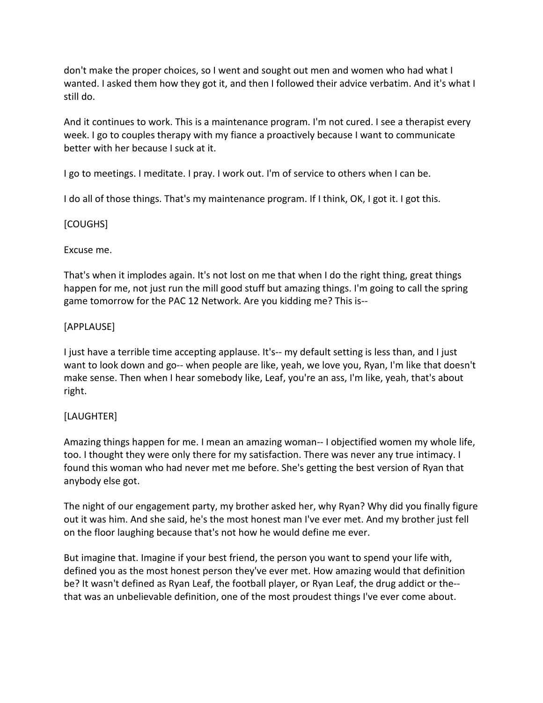don't make the proper choices, so I went and sought out men and women who had what I wanted. I asked them how they got it, and then I followed their advice verbatim. And it's what I still do.

And it continues to work. This is a maintenance program. I'm not cured. I see a therapist every week. I go to couples therapy with my fiance a proactively because I want to communicate better with her because I suck at it.

I go to meetings. I meditate. I pray. I work out. I'm of service to others when I can be.

I do all of those things. That's my maintenance program. If I think, OK, I got it. I got this.

### [COUGHS]

### Excuse me.

That's when it implodes again. It's not lost on me that when I do the right thing, great things happen for me, not just run the mill good stuff but amazing things. I'm going to call the spring game tomorrow for the PAC 12 Network. Are you kidding me? This is--

### [APPLAUSE]

I just have a terrible time accepting applause. It's-- my default setting is less than, and I just want to look down and go-- when people are like, yeah, we love you, Ryan, I'm like that doesn't make sense. Then when I hear somebody like, Leaf, you're an ass, I'm like, yeah, that's about right.

## [LAUGHTER]

Amazing things happen for me. I mean an amazing woman-- I objectified women my whole life, too. I thought they were only there for my satisfaction. There was never any true intimacy. I found this woman who had never met me before. She's getting the best version of Ryan that anybody else got.

The night of our engagement party, my brother asked her, why Ryan? Why did you finally figure out it was him. And she said, he's the most honest man I've ever met. And my brother just fell on the floor laughing because that's not how he would define me ever.

But imagine that. Imagine if your best friend, the person you want to spend your life with, defined you as the most honest person they've ever met. How amazing would that definition be? It wasn't defined as Ryan Leaf, the football player, or Ryan Leaf, the drug addict or the- that was an unbelievable definition, one of the most proudest things I've ever come about.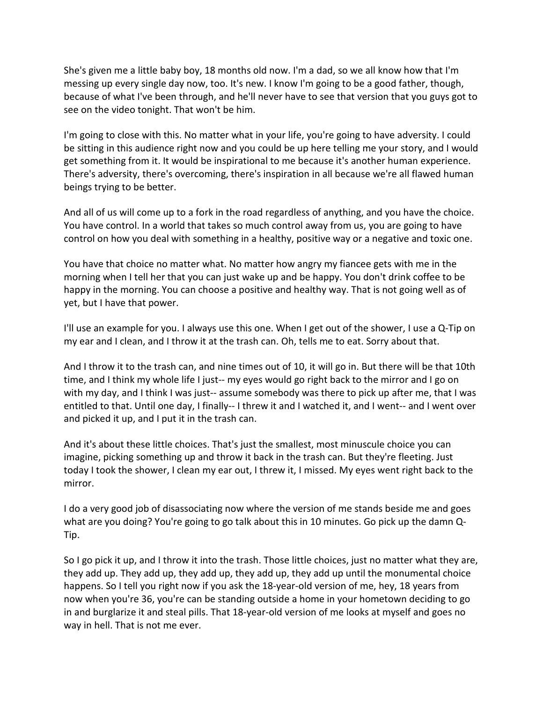She's given me a little baby boy, 18 months old now. I'm a dad, so we all know how that I'm messing up every single day now, too. It's new. I know I'm going to be a good father, though, because of what I've been through, and he'll never have to see that version that you guys got to see on the video tonight. That won't be him.

I'm going to close with this. No matter what in your life, you're going to have adversity. I could be sitting in this audience right now and you could be up here telling me your story, and I would get something from it. It would be inspirational to me because it's another human experience. There's adversity, there's overcoming, there's inspiration in all because we're all flawed human beings trying to be better.

And all of us will come up to a fork in the road regardless of anything, and you have the choice. You have control. In a world that takes so much control away from us, you are going to have control on how you deal with something in a healthy, positive way or a negative and toxic one.

You have that choice no matter what. No matter how angry my fiancee gets with me in the morning when I tell her that you can just wake up and be happy. You don't drink coffee to be happy in the morning. You can choose a positive and healthy way. That is not going well as of yet, but I have that power.

I'll use an example for you. I always use this one. When I get out of the shower, I use a Q-Tip on my ear and I clean, and I throw it at the trash can. Oh, tells me to eat. Sorry about that.

And I throw it to the trash can, and nine times out of 10, it will go in. But there will be that 10th time, and I think my whole life I just-- my eyes would go right back to the mirror and I go on with my day, and I think I was just-- assume somebody was there to pick up after me, that I was entitled to that. Until one day, I finally-- I threw it and I watched it, and I went-- and I went over and picked it up, and I put it in the trash can.

And it's about these little choices. That's just the smallest, most minuscule choice you can imagine, picking something up and throw it back in the trash can. But they're fleeting. Just today I took the shower, I clean my ear out, I threw it, I missed. My eyes went right back to the mirror.

I do a very good job of disassociating now where the version of me stands beside me and goes what are you doing? You're going to go talk about this in 10 minutes. Go pick up the damn Q-Tip.

So I go pick it up, and I throw it into the trash. Those little choices, just no matter what they are, they add up. They add up, they add up, they add up, they add up until the monumental choice happens. So I tell you right now if you ask the 18-year-old version of me, hey, 18 years from now when you're 36, you're can be standing outside a home in your hometown deciding to go in and burglarize it and steal pills. That 18-year-old version of me looks at myself and goes no way in hell. That is not me ever.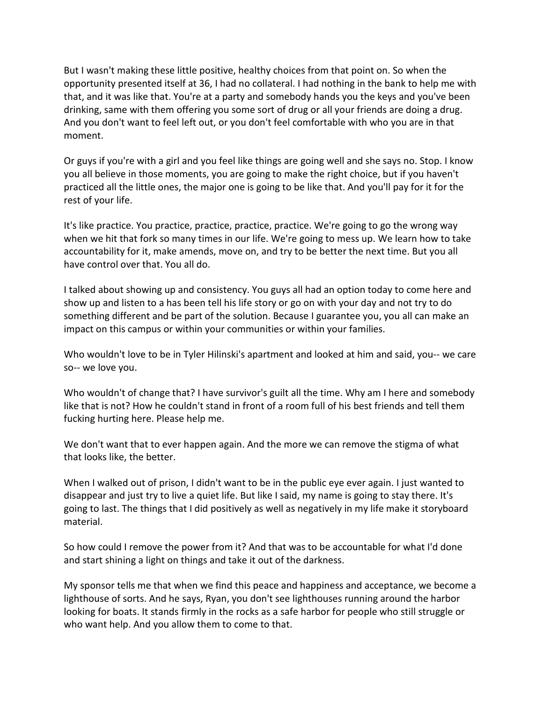But I wasn't making these little positive, healthy choices from that point on. So when the opportunity presented itself at 36, I had no collateral. I had nothing in the bank to help me with that, and it was like that. You're at a party and somebody hands you the keys and you've been drinking, same with them offering you some sort of drug or all your friends are doing a drug. And you don't want to feel left out, or you don't feel comfortable with who you are in that moment.

Or guys if you're with a girl and you feel like things are going well and she says no. Stop. I know you all believe in those moments, you are going to make the right choice, but if you haven't practiced all the little ones, the major one is going to be like that. And you'll pay for it for the rest of your life.

It's like practice. You practice, practice, practice, practice. We're going to go the wrong way when we hit that fork so many times in our life. We're going to mess up. We learn how to take accountability for it, make amends, move on, and try to be better the next time. But you all have control over that. You all do.

I talked about showing up and consistency. You guys all had an option today to come here and show up and listen to a has been tell his life story or go on with your day and not try to do something different and be part of the solution. Because I guarantee you, you all can make an impact on this campus or within your communities or within your families.

Who wouldn't love to be in Tyler Hilinski's apartment and looked at him and said, you-- we care so-- we love you.

Who wouldn't of change that? I have survivor's guilt all the time. Why am I here and somebody like that is not? How he couldn't stand in front of a room full of his best friends and tell them fucking hurting here. Please help me.

We don't want that to ever happen again. And the more we can remove the stigma of what that looks like, the better.

When I walked out of prison, I didn't want to be in the public eye ever again. I just wanted to disappear and just try to live a quiet life. But like I said, my name is going to stay there. It's going to last. The things that I did positively as well as negatively in my life make it storyboard material.

So how could I remove the power from it? And that was to be accountable for what I'd done and start shining a light on things and take it out of the darkness.

My sponsor tells me that when we find this peace and happiness and acceptance, we become a lighthouse of sorts. And he says, Ryan, you don't see lighthouses running around the harbor looking for boats. It stands firmly in the rocks as a safe harbor for people who still struggle or who want help. And you allow them to come to that.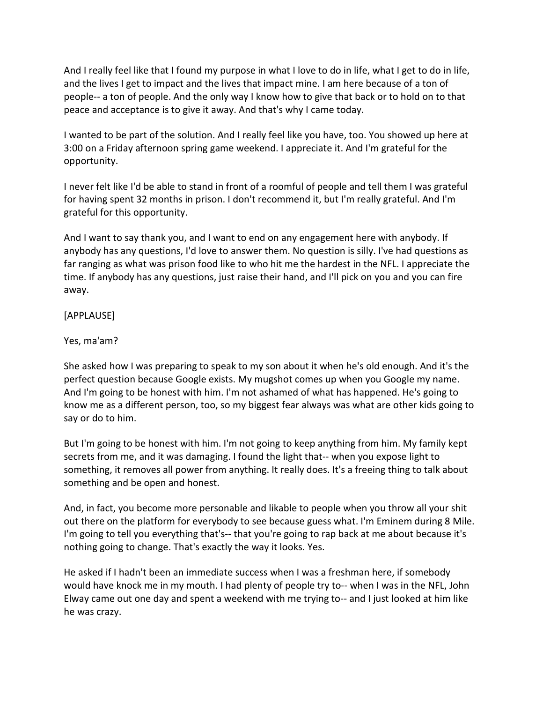And I really feel like that I found my purpose in what I love to do in life, what I get to do in life, and the lives I get to impact and the lives that impact mine. I am here because of a ton of people-- a ton of people. And the only way I know how to give that back or to hold on to that peace and acceptance is to give it away. And that's why I came today.

I wanted to be part of the solution. And I really feel like you have, too. You showed up here at 3:00 on a Friday afternoon spring game weekend. I appreciate it. And I'm grateful for the opportunity.

I never felt like I'd be able to stand in front of a roomful of people and tell them I was grateful for having spent 32 months in prison. I don't recommend it, but I'm really grateful. And I'm grateful for this opportunity.

And I want to say thank you, and I want to end on any engagement here with anybody. If anybody has any questions, I'd love to answer them. No question is silly. I've had questions as far ranging as what was prison food like to who hit me the hardest in the NFL. I appreciate the time. If anybody has any questions, just raise their hand, and I'll pick on you and you can fire away.

[APPLAUSE]

Yes, ma'am?

She asked how I was preparing to speak to my son about it when he's old enough. And it's the perfect question because Google exists. My mugshot comes up when you Google my name. And I'm going to be honest with him. I'm not ashamed of what has happened. He's going to know me as a different person, too, so my biggest fear always was what are other kids going to say or do to him.

But I'm going to be honest with him. I'm not going to keep anything from him. My family kept secrets from me, and it was damaging. I found the light that-- when you expose light to something, it removes all power from anything. It really does. It's a freeing thing to talk about something and be open and honest.

And, in fact, you become more personable and likable to people when you throw all your shit out there on the platform for everybody to see because guess what. I'm Eminem during 8 Mile. I'm going to tell you everything that's-- that you're going to rap back at me about because it's nothing going to change. That's exactly the way it looks. Yes.

He asked if I hadn't been an immediate success when I was a freshman here, if somebody would have knock me in my mouth. I had plenty of people try to-- when I was in the NFL, John Elway came out one day and spent a weekend with me trying to-- and I just looked at him like he was crazy.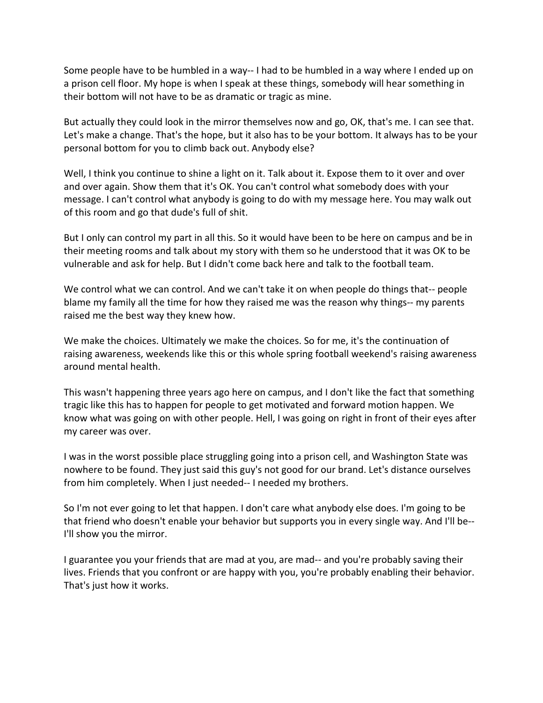Some people have to be humbled in a way-- I had to be humbled in a way where I ended up on a prison cell floor. My hope is when I speak at these things, somebody will hear something in their bottom will not have to be as dramatic or tragic as mine.

But actually they could look in the mirror themselves now and go, OK, that's me. I can see that. Let's make a change. That's the hope, but it also has to be your bottom. It always has to be your personal bottom for you to climb back out. Anybody else?

Well, I think you continue to shine a light on it. Talk about it. Expose them to it over and over and over again. Show them that it's OK. You can't control what somebody does with your message. I can't control what anybody is going to do with my message here. You may walk out of this room and go that dude's full of shit.

But I only can control my part in all this. So it would have been to be here on campus and be in their meeting rooms and talk about my story with them so he understood that it was OK to be vulnerable and ask for help. But I didn't come back here and talk to the football team.

We control what we can control. And we can't take it on when people do things that-- people blame my family all the time for how they raised me was the reason why things-- my parents raised me the best way they knew how.

We make the choices. Ultimately we make the choices. So for me, it's the continuation of raising awareness, weekends like this or this whole spring football weekend's raising awareness around mental health.

This wasn't happening three years ago here on campus, and I don't like the fact that something tragic like this has to happen for people to get motivated and forward motion happen. We know what was going on with other people. Hell, I was going on right in front of their eyes after my career was over.

I was in the worst possible place struggling going into a prison cell, and Washington State was nowhere to be found. They just said this guy's not good for our brand. Let's distance ourselves from him completely. When I just needed-- I needed my brothers.

So I'm not ever going to let that happen. I don't care what anybody else does. I'm going to be that friend who doesn't enable your behavior but supports you in every single way. And I'll be-- I'll show you the mirror.

I guarantee you your friends that are mad at you, are mad-- and you're probably saving their lives. Friends that you confront or are happy with you, you're probably enabling their behavior. That's just how it works.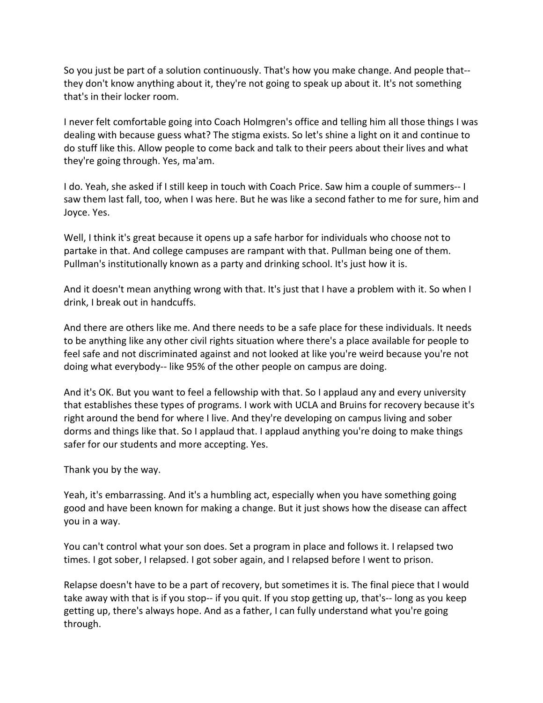So you just be part of a solution continuously. That's how you make change. And people that- they don't know anything about it, they're not going to speak up about it. It's not something that's in their locker room.

I never felt comfortable going into Coach Holmgren's office and telling him all those things I was dealing with because guess what? The stigma exists. So let's shine a light on it and continue to do stuff like this. Allow people to come back and talk to their peers about their lives and what they're going through. Yes, ma'am.

I do. Yeah, she asked if I still keep in touch with Coach Price. Saw him a couple of summers-- I saw them last fall, too, when I was here. But he was like a second father to me for sure, him and Joyce. Yes.

Well, I think it's great because it opens up a safe harbor for individuals who choose not to partake in that. And college campuses are rampant with that. Pullman being one of them. Pullman's institutionally known as a party and drinking school. It's just how it is.

And it doesn't mean anything wrong with that. It's just that I have a problem with it. So when I drink, I break out in handcuffs.

And there are others like me. And there needs to be a safe place for these individuals. It needs to be anything like any other civil rights situation where there's a place available for people to feel safe and not discriminated against and not looked at like you're weird because you're not doing what everybody-- like 95% of the other people on campus are doing.

And it's OK. But you want to feel a fellowship with that. So I applaud any and every university that establishes these types of programs. I work with UCLA and Bruins for recovery because it's right around the bend for where I live. And they're developing on campus living and sober dorms and things like that. So I applaud that. I applaud anything you're doing to make things safer for our students and more accepting. Yes.

Thank you by the way.

Yeah, it's embarrassing. And it's a humbling act, especially when you have something going good and have been known for making a change. But it just shows how the disease can affect you in a way.

You can't control what your son does. Set a program in place and follows it. I relapsed two times. I got sober, I relapsed. I got sober again, and I relapsed before I went to prison.

Relapse doesn't have to be a part of recovery, but sometimes it is. The final piece that I would take away with that is if you stop-- if you quit. If you stop getting up, that's-- long as you keep getting up, there's always hope. And as a father, I can fully understand what you're going through.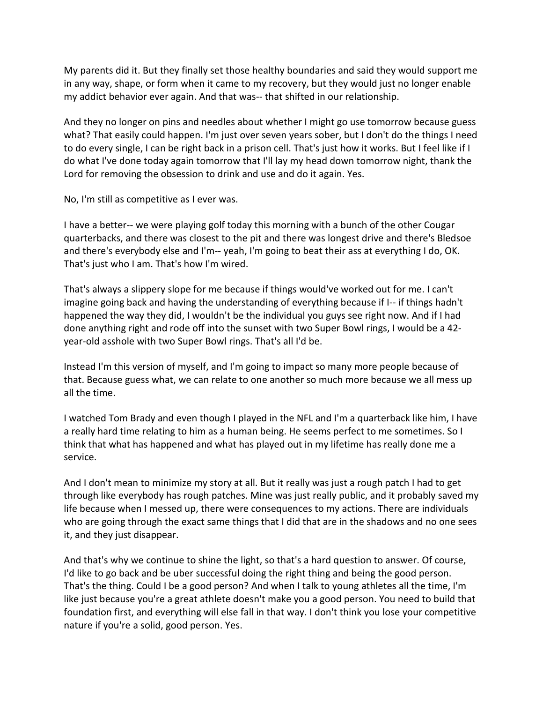My parents did it. But they finally set those healthy boundaries and said they would support me in any way, shape, or form when it came to my recovery, but they would just no longer enable my addict behavior ever again. And that was-- that shifted in our relationship.

And they no longer on pins and needles about whether I might go use tomorrow because guess what? That easily could happen. I'm just over seven years sober, but I don't do the things I need to do every single, I can be right back in a prison cell. That's just how it works. But I feel like if I do what I've done today again tomorrow that I'll lay my head down tomorrow night, thank the Lord for removing the obsession to drink and use and do it again. Yes.

No, I'm still as competitive as I ever was.

I have a better-- we were playing golf today this morning with a bunch of the other Cougar quarterbacks, and there was closest to the pit and there was longest drive and there's Bledsoe and there's everybody else and I'm-- yeah, I'm going to beat their ass at everything I do, OK. That's just who I am. That's how I'm wired.

That's always a slippery slope for me because if things would've worked out for me. I can't imagine going back and having the understanding of everything because if I-- if things hadn't happened the way they did, I wouldn't be the individual you guys see right now. And if I had done anything right and rode off into the sunset with two Super Bowl rings, I would be a 42 year-old asshole with two Super Bowl rings. That's all I'd be.

Instead I'm this version of myself, and I'm going to impact so many more people because of that. Because guess what, we can relate to one another so much more because we all mess up all the time.

I watched Tom Brady and even though I played in the NFL and I'm a quarterback like him, I have a really hard time relating to him as a human being. He seems perfect to me sometimes. So I think that what has happened and what has played out in my lifetime has really done me a service.

And I don't mean to minimize my story at all. But it really was just a rough patch I had to get through like everybody has rough patches. Mine was just really public, and it probably saved my life because when I messed up, there were consequences to my actions. There are individuals who are going through the exact same things that I did that are in the shadows and no one sees it, and they just disappear.

And that's why we continue to shine the light, so that's a hard question to answer. Of course, I'd like to go back and be uber successful doing the right thing and being the good person. That's the thing. Could I be a good person? And when I talk to young athletes all the time, I'm like just because you're a great athlete doesn't make you a good person. You need to build that foundation first, and everything will else fall in that way. I don't think you lose your competitive nature if you're a solid, good person. Yes.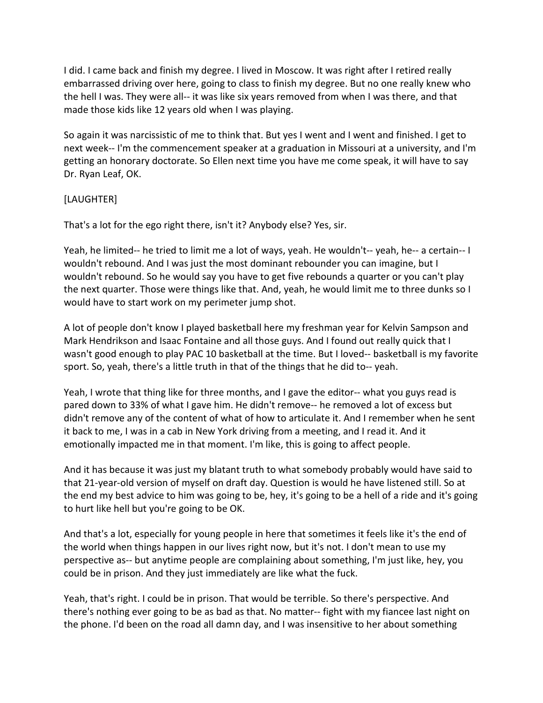I did. I came back and finish my degree. I lived in Moscow. It was right after I retired really embarrassed driving over here, going to class to finish my degree. But no one really knew who the hell I was. They were all-- it was like six years removed from when I was there, and that made those kids like 12 years old when I was playing.

So again it was narcissistic of me to think that. But yes I went and I went and finished. I get to next week-- I'm the commencement speaker at a graduation in Missouri at a university, and I'm getting an honorary doctorate. So Ellen next time you have me come speak, it will have to say Dr. Ryan Leaf, OK.

### [LAUGHTER]

That's a lot for the ego right there, isn't it? Anybody else? Yes, sir.

Yeah, he limited-- he tried to limit me a lot of ways, yeah. He wouldn't-- yeah, he-- a certain-- I wouldn't rebound. And I was just the most dominant rebounder you can imagine, but I wouldn't rebound. So he would say you have to get five rebounds a quarter or you can't play the next quarter. Those were things like that. And, yeah, he would limit me to three dunks so I would have to start work on my perimeter jump shot.

A lot of people don't know I played basketball here my freshman year for Kelvin Sampson and Mark Hendrikson and Isaac Fontaine and all those guys. And I found out really quick that I wasn't good enough to play PAC 10 basketball at the time. But I loved-- basketball is my favorite sport. So, yeah, there's a little truth in that of the things that he did to-- yeah.

Yeah, I wrote that thing like for three months, and I gave the editor-- what you guys read is pared down to 33% of what I gave him. He didn't remove-- he removed a lot of excess but didn't remove any of the content of what of how to articulate it. And I remember when he sent it back to me, I was in a cab in New York driving from a meeting, and I read it. And it emotionally impacted me in that moment. I'm like, this is going to affect people.

And it has because it was just my blatant truth to what somebody probably would have said to that 21-year-old version of myself on draft day. Question is would he have listened still. So at the end my best advice to him was going to be, hey, it's going to be a hell of a ride and it's going to hurt like hell but you're going to be OK.

And that's a lot, especially for young people in here that sometimes it feels like it's the end of the world when things happen in our lives right now, but it's not. I don't mean to use my perspective as-- but anytime people are complaining about something, I'm just like, hey, you could be in prison. And they just immediately are like what the fuck.

Yeah, that's right. I could be in prison. That would be terrible. So there's perspective. And there's nothing ever going to be as bad as that. No matter-- fight with my fiancee last night on the phone. I'd been on the road all damn day, and I was insensitive to her about something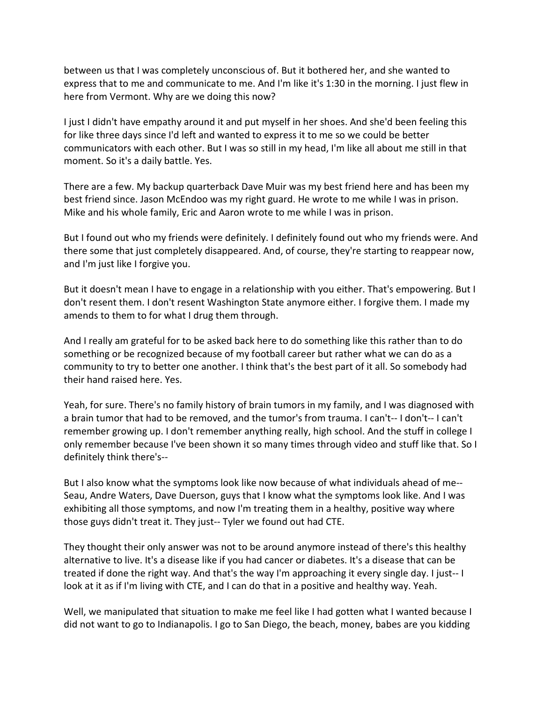between us that I was completely unconscious of. But it bothered her, and she wanted to express that to me and communicate to me. And I'm like it's 1:30 in the morning. I just flew in here from Vermont. Why are we doing this now?

I just I didn't have empathy around it and put myself in her shoes. And she'd been feeling this for like three days since I'd left and wanted to express it to me so we could be better communicators with each other. But I was so still in my head, I'm like all about me still in that moment. So it's a daily battle. Yes.

There are a few. My backup quarterback Dave Muir was my best friend here and has been my best friend since. Jason McEndoo was my right guard. He wrote to me while I was in prison. Mike and his whole family, Eric and Aaron wrote to me while I was in prison.

But I found out who my friends were definitely. I definitely found out who my friends were. And there some that just completely disappeared. And, of course, they're starting to reappear now, and I'm just like I forgive you.

But it doesn't mean I have to engage in a relationship with you either. That's empowering. But I don't resent them. I don't resent Washington State anymore either. I forgive them. I made my amends to them to for what I drug them through.

And I really am grateful for to be asked back here to do something like this rather than to do something or be recognized because of my football career but rather what we can do as a community to try to better one another. I think that's the best part of it all. So somebody had their hand raised here. Yes.

Yeah, for sure. There's no family history of brain tumors in my family, and I was diagnosed with a brain tumor that had to be removed, and the tumor's from trauma. I can't-- I don't-- I can't remember growing up. I don't remember anything really, high school. And the stuff in college I only remember because I've been shown it so many times through video and stuff like that. So I definitely think there's--

But I also know what the symptoms look like now because of what individuals ahead of me-- Seau, Andre Waters, Dave Duerson, guys that I know what the symptoms look like. And I was exhibiting all those symptoms, and now I'm treating them in a healthy, positive way where those guys didn't treat it. They just-- Tyler we found out had CTE.

They thought their only answer was not to be around anymore instead of there's this healthy alternative to live. It's a disease like if you had cancer or diabetes. It's a disease that can be treated if done the right way. And that's the way I'm approaching it every single day. I just-- I look at it as if I'm living with CTE, and I can do that in a positive and healthy way. Yeah.

Well, we manipulated that situation to make me feel like I had gotten what I wanted because I did not want to go to Indianapolis. I go to San Diego, the beach, money, babes are you kidding